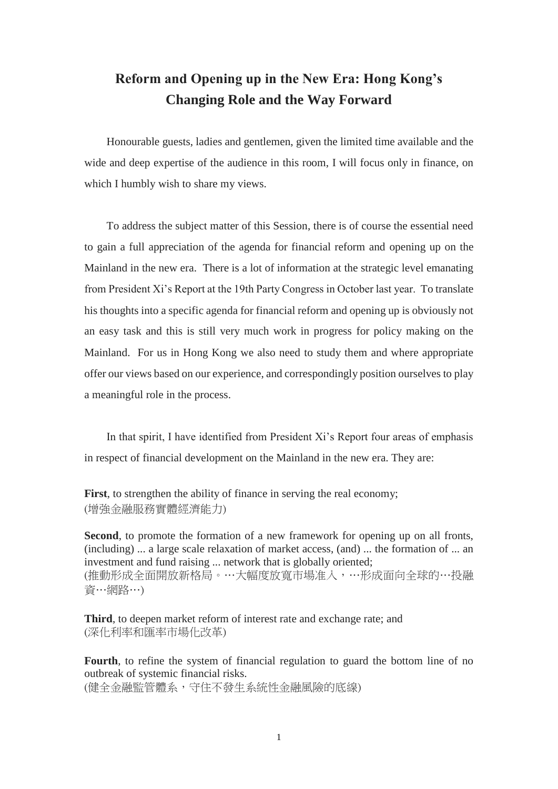## **Reform and Opening up in the New Era: Hong Kong's Changing Role and the Way Forward**

Honourable guests, ladies and gentlemen, given the limited time available and the wide and deep expertise of the audience in this room, I will focus only in finance, on which I humbly wish to share my views.

To address the subject matter of this Session, there is of course the essential need to gain a full appreciation of the agenda for financial reform and opening up on the Mainland in the new era. There is a lot of information at the strategic level emanating from President Xi's Report at the 19th Party Congress in October last year. To translate his thoughts into a specific agenda for financial reform and opening up is obviously not an easy task and this is still very much work in progress for policy making on the Mainland. For us in Hong Kong we also need to study them and where appropriate offer our views based on our experience, and correspondingly position ourselves to play a meaningful role in the process.

In that spirit, I have identified from President Xi's Report four areas of emphasis in respect of financial development on the Mainland in the new era. They are:

First, to strengthen the ability of finance in serving the real economy; (增強金融服務實體經濟能力)

**Second**, to promote the formation of a new framework for opening up on all fronts, (including) ... a large scale relaxation of market access, (and) ... the formation of ... an investment and fund raising ... network that is globally oriented; (推動形成全面開放新格局。…大幅度放寬市場准入,…形成面向全球的…投融 資…網路…)

**Third**, to deepen market reform of interest rate and exchange rate; and (深化利率和匯率市場化改革)

**Fourth**, to refine the system of financial regulation to guard the bottom line of no outbreak of systemic financial risks.

(健全金融監管體系,守住不發生系統性金融風險的底線)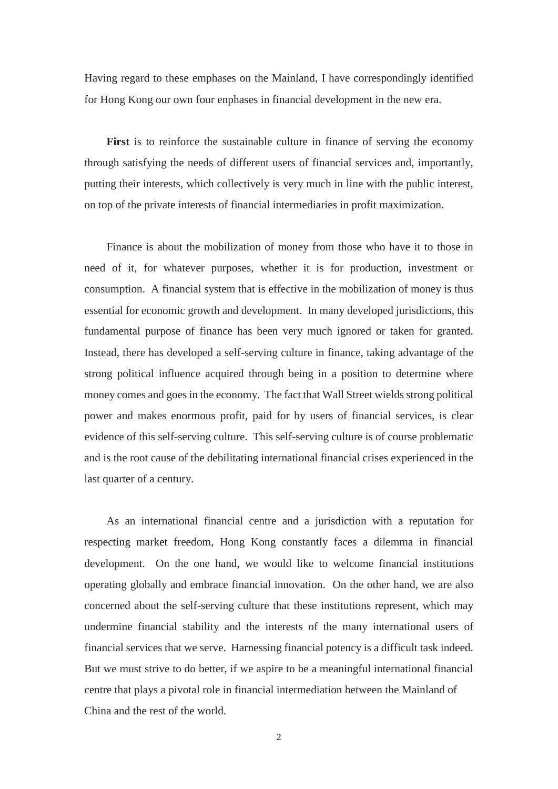Having regard to these emphases on the Mainland, I have correspondingly identified for Hong Kong our own four enphases in financial development in the new era.

**First** is to reinforce the sustainable culture in finance of serving the economy through satisfying the needs of different users of financial services and, importantly, putting their interests, which collectively is very much in line with the public interest, on top of the private interests of financial intermediaries in profit maximization.

Finance is about the mobilization of money from those who have it to those in need of it, for whatever purposes, whether it is for production, investment or consumption. A financial system that is effective in the mobilization of money is thus essential for economic growth and development. In many developed jurisdictions, this fundamental purpose of finance has been very much ignored or taken for granted. Instead, there has developed a self-serving culture in finance, taking advantage of the strong political influence acquired through being in a position to determine where money comes and goes in the economy. The fact that Wall Street wields strong political power and makes enormous profit, paid for by users of financial services, is clear evidence of this self-serving culture. This self-serving culture is of course problematic and is the root cause of the debilitating international financial crises experienced in the last quarter of a century.

As an international financial centre and a jurisdiction with a reputation for respecting market freedom, Hong Kong constantly faces a dilemma in financial development. On the one hand, we would like to welcome financial institutions operating globally and embrace financial innovation. On the other hand, we are also concerned about the self-serving culture that these institutions represent, which may undermine financial stability and the interests of the many international users of financial services that we serve. Harnessing financial potency is a difficult task indeed. But we must strive to do better, if we aspire to be a meaningful international financial centre that plays a pivotal role in financial intermediation between the Mainland of China and the rest of the world.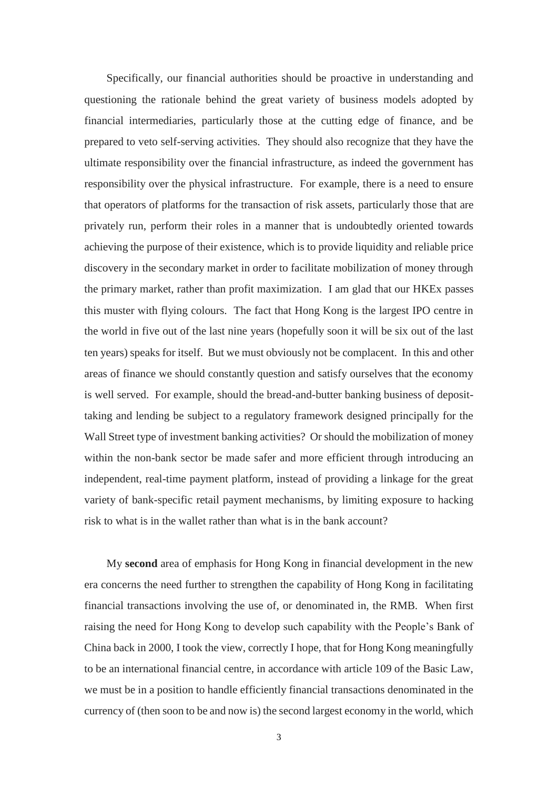Specifically, our financial authorities should be proactive in understanding and questioning the rationale behind the great variety of business models adopted by financial intermediaries, particularly those at the cutting edge of finance, and be prepared to veto self-serving activities. They should also recognize that they have the ultimate responsibility over the financial infrastructure, as indeed the government has responsibility over the physical infrastructure. For example, there is a need to ensure that operators of platforms for the transaction of risk assets, particularly those that are privately run, perform their roles in a manner that is undoubtedly oriented towards achieving the purpose of their existence, which is to provide liquidity and reliable price discovery in the secondary market in order to facilitate mobilization of money through the primary market, rather than profit maximization. I am glad that our HKEx passes this muster with flying colours. The fact that Hong Kong is the largest IPO centre in the world in five out of the last nine years (hopefully soon it will be six out of the last ten years) speaks for itself. But we must obviously not be complacent. In this and other areas of finance we should constantly question and satisfy ourselves that the economy is well served. For example, should the bread-and-butter banking business of deposittaking and lending be subject to a regulatory framework designed principally for the Wall Street type of investment banking activities? Or should the mobilization of money within the non-bank sector be made safer and more efficient through introducing an independent, real-time payment platform, instead of providing a linkage for the great variety of bank-specific retail payment mechanisms, by limiting exposure to hacking risk to what is in the wallet rather than what is in the bank account?

My **second** area of emphasis for Hong Kong in financial development in the new era concerns the need further to strengthen the capability of Hong Kong in facilitating financial transactions involving the use of, or denominated in, the RMB. When first raising the need for Hong Kong to develop such capability with the People's Bank of China back in 2000, I took the view, correctly I hope, that for Hong Kong meaningfully to be an international financial centre, in accordance with article 109 of the Basic Law, we must be in a position to handle efficiently financial transactions denominated in the currency of (then soon to be and now is) the second largest economy in the world, which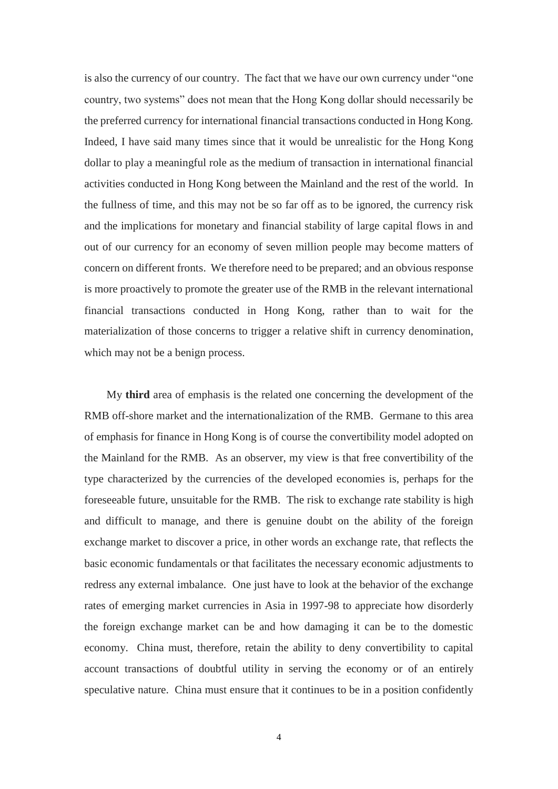is also the currency of our country. The fact that we have our own currency under "one country, two systems" does not mean that the Hong Kong dollar should necessarily be the preferred currency for international financial transactions conducted in Hong Kong. Indeed, I have said many times since that it would be unrealistic for the Hong Kong dollar to play a meaningful role as the medium of transaction in international financial activities conducted in Hong Kong between the Mainland and the rest of the world. In the fullness of time, and this may not be so far off as to be ignored, the currency risk and the implications for monetary and financial stability of large capital flows in and out of our currency for an economy of seven million people may become matters of concern on different fronts. We therefore need to be prepared; and an obvious response is more proactively to promote the greater use of the RMB in the relevant international financial transactions conducted in Hong Kong, rather than to wait for the materialization of those concerns to trigger a relative shift in currency denomination, which may not be a benign process.

My **third** area of emphasis is the related one concerning the development of the RMB off-shore market and the internationalization of the RMB. Germane to this area of emphasis for finance in Hong Kong is of course the convertibility model adopted on the Mainland for the RMB. As an observer, my view is that free convertibility of the type characterized by the currencies of the developed economies is, perhaps for the foreseeable future, unsuitable for the RMB. The risk to exchange rate stability is high and difficult to manage, and there is genuine doubt on the ability of the foreign exchange market to discover a price, in other words an exchange rate, that reflects the basic economic fundamentals or that facilitates the necessary economic adjustments to redress any external imbalance. One just have to look at the behavior of the exchange rates of emerging market currencies in Asia in 1997-98 to appreciate how disorderly the foreign exchange market can be and how damaging it can be to the domestic economy. China must, therefore, retain the ability to deny convertibility to capital account transactions of doubtful utility in serving the economy or of an entirely speculative nature. China must ensure that it continues to be in a position confidently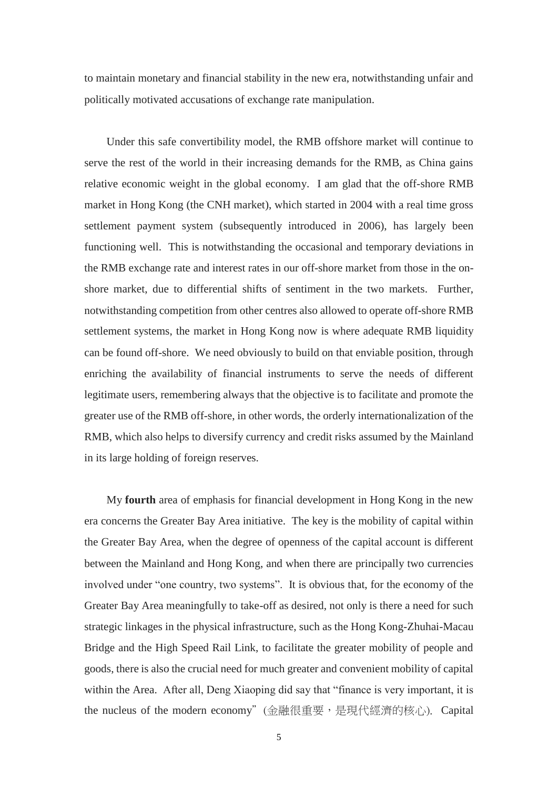to maintain monetary and financial stability in the new era, notwithstanding unfair and politically motivated accusations of exchange rate manipulation.

Under this safe convertibility model, the RMB offshore market will continue to serve the rest of the world in their increasing demands for the RMB, as China gains relative economic weight in the global economy. I am glad that the off-shore RMB market in Hong Kong (the CNH market), which started in 2004 with a real time gross settlement payment system (subsequently introduced in 2006), has largely been functioning well. This is notwithstanding the occasional and temporary deviations in the RMB exchange rate and interest rates in our off-shore market from those in the onshore market, due to differential shifts of sentiment in the two markets. Further, notwithstanding competition from other centres also allowed to operate off-shore RMB settlement systems, the market in Hong Kong now is where adequate RMB liquidity can be found off-shore. We need obviously to build on that enviable position, through enriching the availability of financial instruments to serve the needs of different legitimate users, remembering always that the objective is to facilitate and promote the greater use of the RMB off-shore, in other words, the orderly internationalization of the RMB, which also helps to diversify currency and credit risks assumed by the Mainland in its large holding of foreign reserves.

My **fourth** area of emphasis for financial development in Hong Kong in the new era concerns the Greater Bay Area initiative. The key is the mobility of capital within the Greater Bay Area, when the degree of openness of the capital account is different between the Mainland and Hong Kong, and when there are principally two currencies involved under "one country, two systems". It is obvious that, for the economy of the Greater Bay Area meaningfully to take-off as desired, not only is there a need for such strategic linkages in the physical infrastructure, such as the Hong Kong-Zhuhai-Macau Bridge and the High Speed Rail Link, to facilitate the greater mobility of people and goods, there is also the crucial need for much greater and convenient mobility of capital within the Area. After all, Deng Xiaoping did say that "finance is very important, it is the nucleus of the modern economy"(金融很重要,是現代經濟的核心). Capital